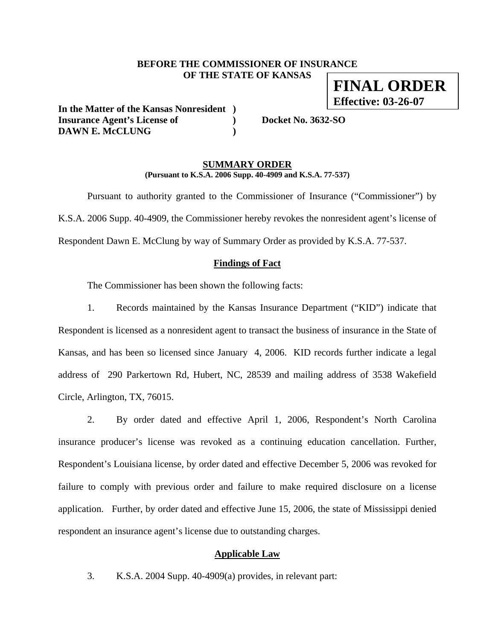## **BEFORE THE COMMISSIONER OF INSURANCE OF THE STATE OF KANSAS**

**In the Matter of the Kansas Nonresident ) Insurance Agent's License of ) Docket No. 3632-SO DAWN E. McCLUNG )** 

#### **SUMMARY ORDER (Pursuant to K.S.A. 2006 Supp. 40-4909 and K.S.A. 77-537)**

 Pursuant to authority granted to the Commissioner of Insurance ("Commissioner") by K.S.A. 2006 Supp. 40-4909, the Commissioner hereby revokes the nonresident agent's license of Respondent Dawn E. McClung by way of Summary Order as provided by K.S.A. 77-537.

### **Findings of Fact**

The Commissioner has been shown the following facts:

1. Records maintained by the Kansas Insurance Department ("KID") indicate that Respondent is licensed as a nonresident agent to transact the business of insurance in the State of Kansas, and has been so licensed since January 4, 2006. KID records further indicate a legal address of 290 Parkertown Rd, Hubert, NC, 28539 and mailing address of 3538 Wakefield Circle, Arlington, TX, 76015.

2. By order dated and effective April 1, 2006, Respondent's North Carolina insurance producer's license was revoked as a continuing education cancellation. Further, Respondent's Louisiana license, by order dated and effective December 5, 2006 was revoked for failure to comply with previous order and failure to make required disclosure on a license application. Further, by order dated and effective June 15, 2006, the state of Mississippi denied respondent an insurance agent's license due to outstanding charges.

### **Applicable Law**

3. K.S.A. 2004 Supp. 40-4909(a) provides, in relevant part:

**FINAL ORDER Effective: 03-26-07**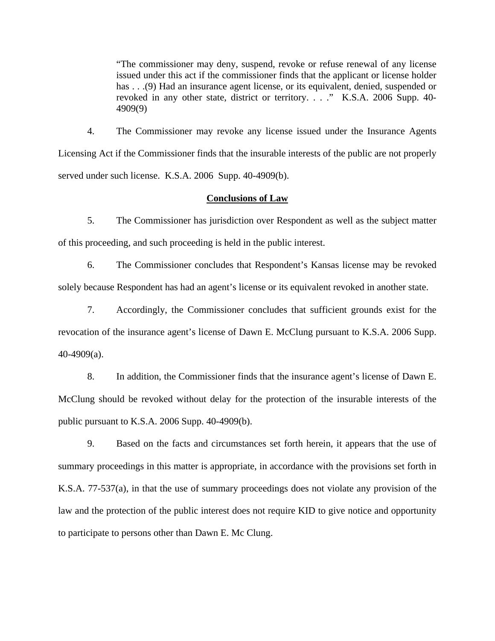"The commissioner may deny, suspend, revoke or refuse renewal of any license issued under this act if the commissioner finds that the applicant or license holder has . . .(9) Had an insurance agent license, or its equivalent, denied, suspended or revoked in any other state, district or territory. . . ." K.S.A. 2006 Supp. 40- 4909(9)

4. The Commissioner may revoke any license issued under the Insurance Agents Licensing Act if the Commissioner finds that the insurable interests of the public are not properly served under such license. K.S.A. 2006 Supp. 40-4909(b).

### **Conclusions of Law**

5. The Commissioner has jurisdiction over Respondent as well as the subject matter of this proceeding, and such proceeding is held in the public interest.

6. The Commissioner concludes that Respondent's Kansas license may be revoked solely because Respondent has had an agent's license or its equivalent revoked in another state.

7. Accordingly, the Commissioner concludes that sufficient grounds exist for the revocation of the insurance agent's license of Dawn E. McClung pursuant to K.S.A. 2006 Supp. 40-4909(a).

8. In addition, the Commissioner finds that the insurance agent's license of Dawn E. McClung should be revoked without delay for the protection of the insurable interests of the public pursuant to K.S.A. 2006 Supp. 40-4909(b).

9. Based on the facts and circumstances set forth herein, it appears that the use of summary proceedings in this matter is appropriate, in accordance with the provisions set forth in K.S.A. 77-537(a), in that the use of summary proceedings does not violate any provision of the law and the protection of the public interest does not require KID to give notice and opportunity to participate to persons other than Dawn E. Mc Clung.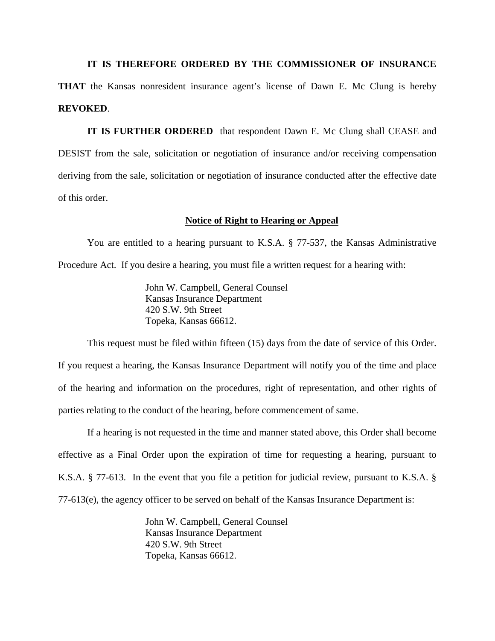**IT IS THEREFORE ORDERED BY THE COMMISSIONER OF INSURANCE** 

**THAT** the Kansas nonresident insurance agent's license of Dawn E. Mc Clung is hereby **REVOKED**.

**IT IS FURTHER ORDERED** that respondent Dawn E. Mc Clung shall CEASE and DESIST from the sale, solicitation or negotiation of insurance and/or receiving compensation deriving from the sale, solicitation or negotiation of insurance conducted after the effective date of this order.

#### **Notice of Right to Hearing or Appeal**

You are entitled to a hearing pursuant to K.S.A. § 77-537, the Kansas Administrative Procedure Act. If you desire a hearing, you must file a written request for a hearing with:

> John W. Campbell, General Counsel Kansas Insurance Department 420 S.W. 9th Street Topeka, Kansas 66612.

This request must be filed within fifteen (15) days from the date of service of this Order. If you request a hearing, the Kansas Insurance Department will notify you of the time and place of the hearing and information on the procedures, right of representation, and other rights of parties relating to the conduct of the hearing, before commencement of same.

If a hearing is not requested in the time and manner stated above, this Order shall become effective as a Final Order upon the expiration of time for requesting a hearing, pursuant to K.S.A. § 77-613. In the event that you file a petition for judicial review, pursuant to K.S.A. § 77-613(e), the agency officer to be served on behalf of the Kansas Insurance Department is:

> John W. Campbell, General Counsel Kansas Insurance Department 420 S.W. 9th Street Topeka, Kansas 66612.